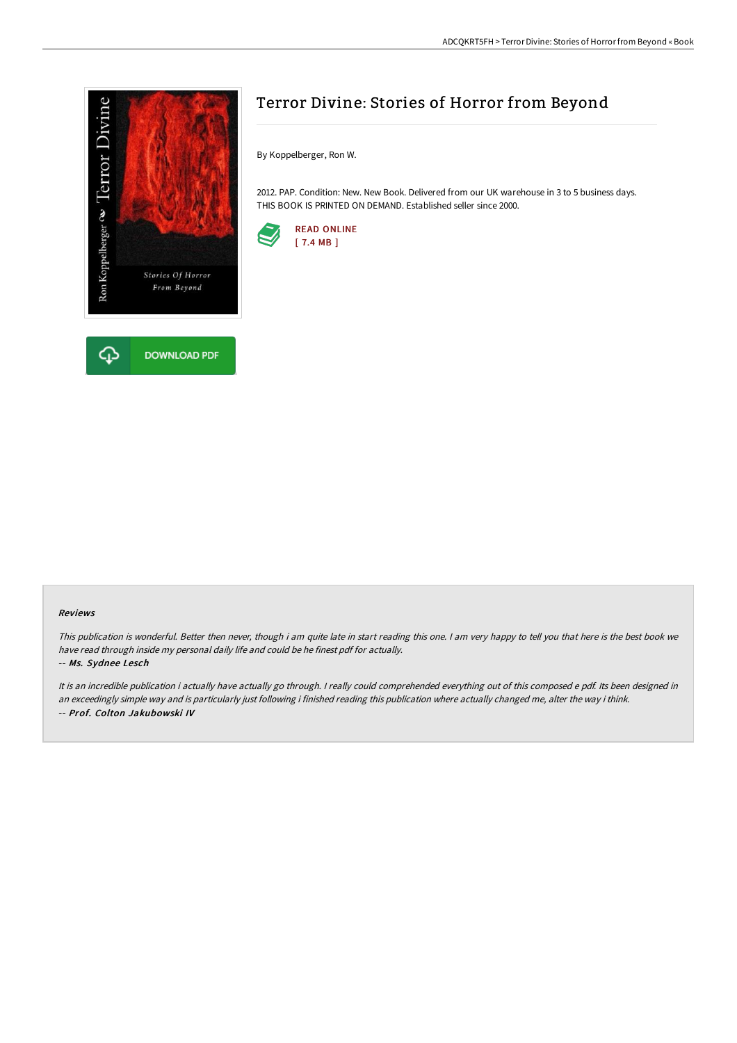

# Terror Divine: Stories of Horror from Beyond

By Koppelberger, Ron W.

2012. PAP. Condition: New. New Book. Delivered from our UK warehouse in 3 to 5 business days. THIS BOOK IS PRINTED ON DEMAND. Established seller since 2000.



#### Reviews

This publication is wonderful. Better then never, though i am quite late in start reading this one. <sup>I</sup> am very happy to tell you that here is the best book we have read through inside my personal daily life and could be he finest pdf for actually.

#### -- Ms. Sydnee Lesch

It is an incredible publication i actually have actually go through. I really could comprehended everything out of this composed e pdf. Its been designed in an exceedingly simple way and is particularly just following i finished reading this publication where actually changed me, alter the way i think. -- Prof. Colton Jakubowski IV